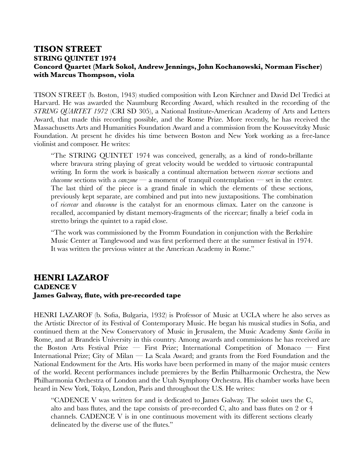## **TISON STREET STRING QUINTET 1974 Concord Quartet (Mark Sokol, Andrew Jennings, John Kochanowski, Norman Fischer) with Marcus Thompson, viola**

TISON STREET (b. Boston, 1943) studied composition with Leon Kirchner and David Del Tredici at Harvard. He was awarded the Naumburg Recording Award, which resulted in the recording of the *STRING QUARTET 1972* (CRI SD 305), a National Institute-American Academy of Arts and Letters Award, that made this recording possible, and the Rome Prize. More recently, he has received the Massachusetts Arts and Humanities Foundation Award and a commission from the Koussevitzky Music Foundation. At present he divides his time between Boston and New York working as a free-lance violinist and composer. He writes:

"The STRING QUINTET 1974 was conceived, generally, as a kind of rondo-brillante where bravura string playing of great velocity would be wedded to virtuosic contrapuntal writing. In form the work is basically a continual alternation between *ricercar* sections and *chaconne* sections with a *canzone* — a moment of tranquil contemplation — set in the center. The last third of the piece is a grand finale in which the elements of these sections, previously kept separate, are combined and put into new juxtapositions. The combination o f *ricercar* and *chaconne* is the catalyst for an enormous climax. Later on the canzone is recalled, accompanied by distant memory-fragments of the ricercar; finally a brief coda in stretto brings the quintet to a rapid close.

"The work was commissioned by the Fromm Foundation in conjunction with the Berkshire Music Center at Tanglewood and was first performed there at the summer festival in 1974. It was written the previous winter at the American Academy in Rome."

## **HENRI LAZAROF CADENCE V James Galway, flute, with pre-recorded tape**

HENRI LAZAROF (b. Sofia, Bulgaria, 1932) is Professor of Music at UCLA where he also serves as the Artistic Director of its Festival of Contemporary Music. He began his musical studies in Sofia, and continued them at the New Conservatory of Music in Jerusalem, the Music Academy *Santa Cecilia* in Rome, and at Brandeis University in this country. Among awards and commissions he has received are the Boston Arts Festival Prize — First Prize; International Competition of Monaco — First International Prize; City of Milan — La Scala Award; and grants from the Ford Foundation and the National Endowment for the Arts. His works have been performed in many of the major music centers of the world. Recent performances include premieres by the Berlin Philharmonic Orchestra, the New Philharmonia Orchestra of London and the Utah Symphony Orchestra. His chamber works have been heard in New York, Tokyo, London, Paris and throughout the U.S. He writes:

"CADENCE V was written for and is dedicated to James Galway. The soloist uses the C, alto and bass flutes, and the tape consists of pre-recorded C, alto and bass flutes on 2 or 4 channels. CADENCE V is in one continuous movement with its different sections clearly delineated by the diverse use of the flutes."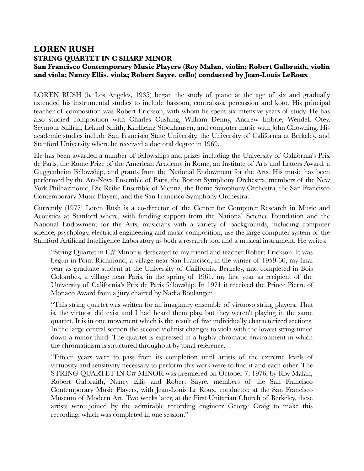## **LOREN RUSH STRING QUARTET IN C SHARP MINOR San Francisco Contemporary Music Players (Roy Malan, violin; Robert Galbraith, violin and viola; Nancy Ellis, viola; Robert Sayre, cello) conducted by Jean-Louis LeRoux**

LOREN RUSH (b. Los Angeles, 1935) began the study of piano at the age of six and gradually extended his instrumental studies to include bassoon, contrabass, percussion and koto. His principal teacher of composition was Robert Erickson, with whom he spent six intensive years of study. He has also studied composition with Charles Cushing, William Denny, Andrew Imbrie, Wendell Otey, Seymour Shifrin, Leland Smith, Karlheinz Stockhausen, and computer music with John Chowning. His academic studies include San Francisco State University, the University of California at Berkeley, and Stanford University where he received a doctoral degree in 1969.

He has been awarded a number of fellowships and prizes including the University of California's Prix de Paris, the Rome Prize of the American Academy in Rome, an Institute of Arts and Letters Award, a Guggenheim Fellowship, and grants from the National Endowment for the Arts. His music has been performed by the Ars-Nova Ensemble of Paris, the Boston Symphony Orchestra, members of the New York Philharmonic, Die Reihe Ensemble of Vienna, the Rome Symphony Orchestra, the San Francisco Contemporary Music Players, and the San Francisco Symphony Orchestra.

Currently (1977) Loren Rush is a co-director of the Center for Computer Research in Music and Acoustics at Stanford where, with funding support from the National Science Foundation and the National Endowment for the Arts, musicians with a variety of backgrounds, including computer science, psychology, electrical engineering and music composition, use the large computer system of the Stanford Artificial Intelligence Laboratory as both a research tool and a musical instrument. He writes:

"String Quartet in C# Minor is dedicated to my friend and teacher Robert Erickson. It was begun in Point Richmond, a village near San Francisco, in the winter of 1959-60, my final year as graduate student at the University of California, Berkeley, and completed in Bois Colombes, a village near Paris, in the spring of 1961, my first year as recipient of the University of California's Prix de Paris fellowship. In 1971 it received the Prince Pierre of Monaco Award from a jury chaired by Nadia Boulanger.

"This string quartet was written for an imaginary ensemble of virtuoso string players. That is, the virtuosi did exist and I had heard them play, but they weren't playing in the same quartet. It is in one movement which is the result of five individually characterized sections. In the large central section the second violinist changes to viola with the lowest string tuned down a minor third. The quartet is expressed in a highly chromatic environment in which the chromaticism is structured throughout by tonal reference.

"Fifteen years were to pass from its completion until artists of the extreme levels of virtuosity and sensitivity necessary to perform this work were to find it and each other. The STRING QUARTET IN C# MINOR was premiered on October 7, 1976, by Roy Malan, Robert Galbraith, Nancy Ellis and Robert Sayre, members of the San Francisco Contemporary Music Players, with Jean-Louis Le Roux, conductor, at the San Francisco Museum of Modern Art. Two weeks later, at the First Unitarian Church of Berkeley, these artists were joined by the admirable recording engineer George Craig to make this recording, which was completed in one session."